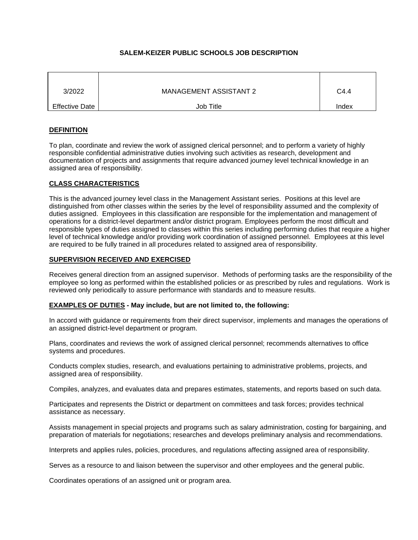# **SALEM-KEIZER PUBLIC SCHOOLS JOB DESCRIPTION**

| 3/2022                | <b>MANAGEMENT ASSISTANT 2</b> | C <sub>4.4</sub> |
|-----------------------|-------------------------------|------------------|
| <b>Effective Date</b> | Job Title                     | Index            |

# **DEFINITION**

To plan, coordinate and review the work of assigned clerical personnel; and to perform a variety of highly responsible confidential administrative duties involving such activities as research, development and documentation of projects and assignments that require advanced journey level technical knowledge in an assigned area of responsibility.

# **CLASS CHARACTERISTICS**

This is the advanced journey level class in the Management Assistant series. Positions at this level are distinguished from other classes within the series by the level of responsibility assumed and the complexity of duties assigned. Employees in this classification are responsible for the implementation and management of operations for a district-level department and/or district program. Employees perform the most difficult and responsible types of duties assigned to classes within this series including performing duties that require a higher level of technical knowledge and/or providing work coordination of assigned personnel. Employees at this level are required to be fully trained in all procedures related to assigned area of responsibility.

### **SUPERVISION RECEIVED AND EXERCISED**

Receives general direction from an assigned supervisor. Methods of performing tasks are the responsibility of the employee so long as performed within the established policies or as prescribed by rules and regulations. Work is reviewed only periodically to assure performance with standards and to measure results.

### **EXAMPLES OF DUTIES - May include, but are not limited to, the following:**

In accord with guidance or requirements from their direct supervisor, implements and manages the operations of an assigned district-level department or program.

Plans, coordinates and reviews the work of assigned clerical personnel; recommends alternatives to office systems and procedures.

Conducts complex studies, research, and evaluations pertaining to administrative problems, projects, and assigned area of responsibility.

Compiles, analyzes, and evaluates data and prepares estimates, statements, and reports based on such data.

Participates and represents the District or department on committees and task forces; provides technical assistance as necessary.

Assists management in special projects and programs such as salary administration, costing for bargaining, and preparation of materials for negotiations; researches and develops preliminary analysis and recommendations.

Interprets and applies rules, policies, procedures, and regulations affecting assigned area of responsibility.

Serves as a resource to and liaison between the supervisor and other employees and the general public.

Coordinates operations of an assigned unit or program area.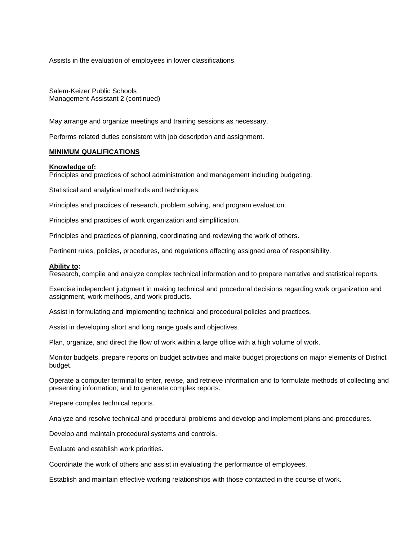Assists in the evaluation of employees in lower classifications.

Salem-Keizer Public Schools Management Assistant 2 (continued)

May arrange and organize meetings and training sessions as necessary.

Performs related duties consistent with job description and assignment.

### **MINIMUM QUALIFICATIONS**

#### **Knowledge of:**

Principles and practices of school administration and management including budgeting.

Statistical and analytical methods and techniques.

Principles and practices of research, problem solving, and program evaluation.

Principles and practices of work organization and simplification.

Principles and practices of planning, coordinating and reviewing the work of others.

Pertinent rules, policies, procedures, and regulations affecting assigned area of responsibility.

#### **Ability to:**

Research, compile and analyze complex technical information and to prepare narrative and statistical reports.

Exercise independent judgment in making technical and procedural decisions regarding work organization and assignment, work methods, and work products.

Assist in formulating and implementing technical and procedural policies and practices.

Assist in developing short and long range goals and objectives.

Plan, organize, and direct the flow of work within a large office with a high volume of work.

Monitor budgets, prepare reports on budget activities and make budget projections on major elements of District budget.

Operate a computer terminal to enter, revise, and retrieve information and to formulate methods of collecting and presenting information; and to generate complex reports.

Prepare complex technical reports.

Analyze and resolve technical and procedural problems and develop and implement plans and procedures.

Develop and maintain procedural systems and controls.

Evaluate and establish work priorities.

Coordinate the work of others and assist in evaluating the performance of employees.

Establish and maintain effective working relationships with those contacted in the course of work.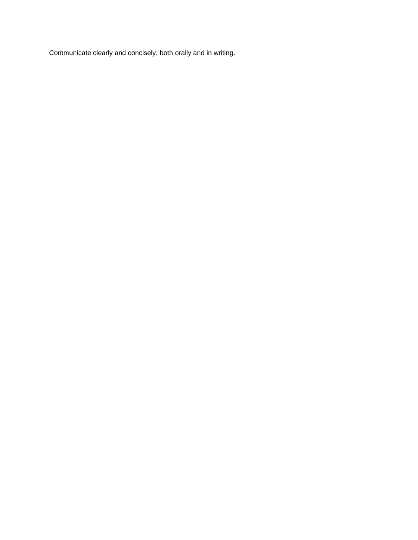Communicate clearly and concisely, both orally and in writing.